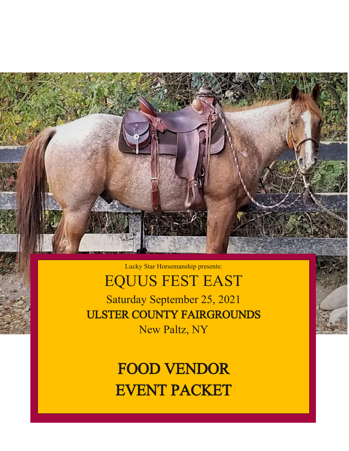

Lucky Star Horsemanship presents:

# EQUUS FEST EAST

Saturday September 25, 2021 ULSTER COUNTY FAIRGROUNDS New Paltz, NY

> FOOD VENDOR EVENT PACKET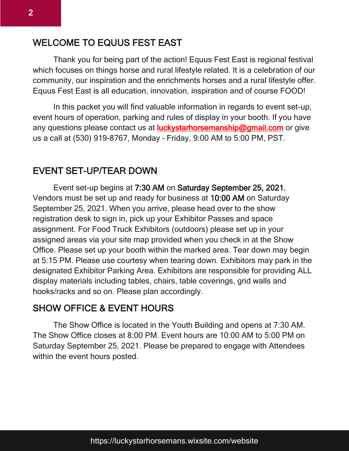# WELCOME TO EQUUS FEST EAST

Thank you for being part of the action! Equus Fest East is regional festival which focuses on things horse and rural lifestyle related. It is a celebration of our community, our inspiration and the enrichments horses and a rural lifestyle offer. Equus Fest East is all education, innovation, inspiration and of course FOOD!

In this packet you will find valuable information in regards to event set-up, event hours of operation, parking and rules of display in your booth. If you have any questions please contact us at **luckystarhorsemanship@gmail.com** or give us a call at (530) 919-8767, Monday – Friday, 9:00 AM to 5:00 PM, PST.

## EVENT SET-UP/TEAR DOWN

Event set-up begins at 7:30 AM on Saturday September 25, 2021, Vendors must be set up and ready for business at 10:00 AM on Saturday September 25, 2021. When you arrive, please head over to the show registration desk to sign in, pick up your Exhibitor Passes and space assignment. For Food Truck Exhibitors (outdoors) please set up in your assigned areas via your site map provided when you check in at the Show Office. Please set up your booth within the marked area. Tear down may begin at 5:15 PM. Please use courtesy when tearing down. Exhibitors may park in the designated Exhibitor Parking Area. Exhibitors are responsible for providing ALL display materials including tables, chairs, table coverings, grid walls and hooks/racks and so on. Please plan accordingly.

#### SHOW OFFICE & EVENT HOURS

The Show Office is located in the Youth Building and opens at 7:30 AM. The Show Office closes at 8:00 PM. Event hours are 10:00 AM to 5:00 PM on Saturday September 25, 2021. Please be prepared to engage with Attendees within the event hours posted.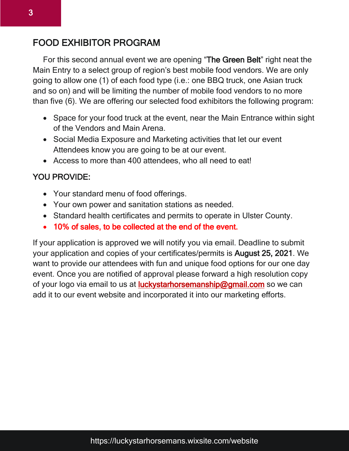## FOOD EXHIBITOR PROGRAM

For this second annual event we are opening "The Green Belt" right neat the Main Entry to a select group of region's best mobile food vendors. We are only going to allow one (1) of each food type (i.e.: one BBQ truck, one Asian truck and so on) and will be limiting the number of mobile food vendors to no more than five (6). We are offering our selected food exhibitors the following program:

- Space for your food truck at the event, near the Main Entrance within sight of the Vendors and Main Arena.
- Social Media Exposure and Marketing activities that let our event Attendees know you are going to be at our event.
- Access to more than 400 attendees, who all need to eat!

#### YOU PROVIDE:

- Your standard menu of food offerings.
- Your own power and sanitation stations as needed.
- Standard health certificates and permits to operate in Ulster County.
- 10% of sales, to be collected at the end of the event.

If your application is approved we will notify you via email. Deadline to submit your application and copies of your certificates/permits is August 25, 2021. We want to provide our attendees with fun and unique food options for our one day event. Once you are notified of approval please forward a high resolution copy of your logo via email to us at **luckystarhorsemanship@gmail.com** so we can add it to our event website and incorporated it into our marketing efforts.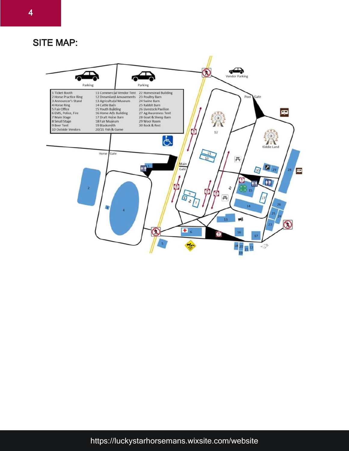4